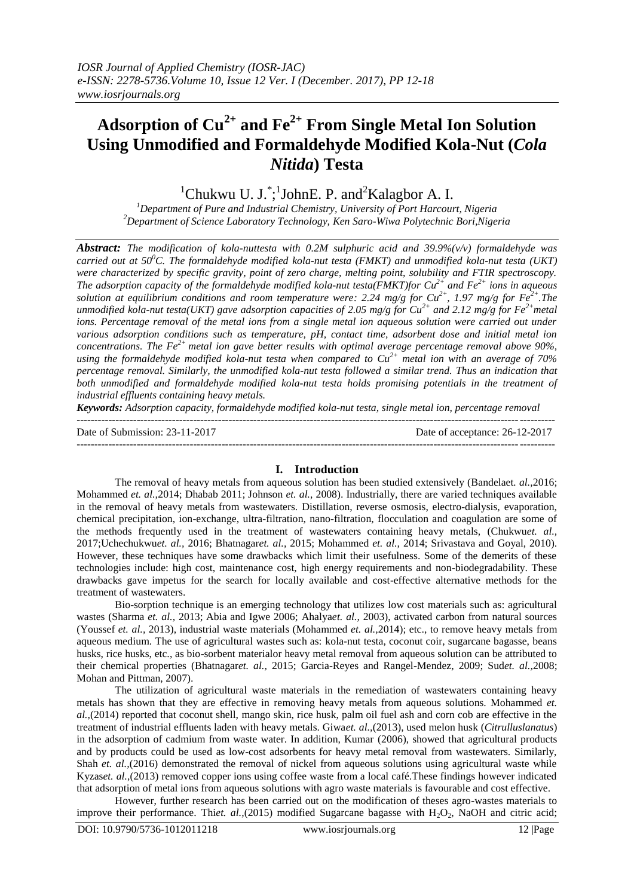# **Adsorption of Cu2+ and Fe2+ From Single Metal Ion Solution Using Unmodified and Formaldehyde Modified Kola-Nut (***Cola Nitida***) Testa**

<sup>1</sup>Chukwu U. J. <sup>\*</sup>;<sup>1</sup>JohnE. P. and<sup>2</sup>Kalagbor A. I.

*<sup>1</sup>Department of Pure and Industrial Chemistry, University of Port Harcourt, Nigeria <sup>2</sup>Department of Science Laboratory Technology, Ken Saro-Wiwa Polytechnic Bori,Nigeria*

*Abstract: The modification of kola-nuttesta with 0.2M sulphuric acid and 39.9%(v/v) formaldehyde was carried out at 50<sup>0</sup>C. The formaldehyde modified kola-nut testa (FMKT) and unmodified kola-nut testa (UKT) were characterized by specific gravity, point of zero charge, melting point, solubility and FTIR spectroscopy. The adsorption capacity of the formaldehyde modified kola-nut testa(FMKT)for Cu2+ and Fe2+ ions in aqueous solution at equilibrium conditions and room temperature were: 2.24 mg/g for*  $Cu^{2+}$ *, 1.97 mg/g for*  $Fe^{2+}$ *. The unmodified kola-nut testa(UKT) gave adsorption capacities of 2.05 mg/g for*  $Cu^{2+}$  *and 2.12 mg/g for*  $Fe^{2+}$  *metal ions. Percentage removal of the metal ions from a single metal ion aqueous solution were carried out under various adsorption conditions such as temperature, pH, contact time, adsorbent dose and initial metal ion concentrations. The Fe2+ metal ion gave better results with optimal average percentage removal above 90%, using the formaldehyde modified kola-nut testa when compared to Cu2+ metal ion with an average of 70% percentage removal. Similarly, the unmodified kola-nut testa followed a similar trend. Thus an indication that both unmodified and formaldehyde modified kola-nut testa holds promising potentials in the treatment of industrial effluents containing heavy metals.*

*Keywords: Adsorption capacity, formaldehyde modified kola-nut testa, single metal ion, percentage removal*

--------------------------------------------------------------------------------------------------------------------------------------- Date of Submission: 23-11-2017 Date of acceptance: 26-12-2017

---------------------------------------------------------------------------------------------------------------------------------------

# **I. Introduction**

The removal of heavy metals from aqueous solution has been studied extensively (Bandelaet*. al.,*2016; Mohammed *et. al.,*2014; Dhabab 2011; Johnson *et. al.,* 2008). Industrially, there are varied techniques available in the removal of heavy metals from wastewaters. Distillation, reverse osmosis, electro-dialysis, evaporation, chemical precipitation, ion-exchange, ultra-filtration, nano-filtration, flocculation and coagulation are some of the methods frequently used in the treatment of wastewaters containing heavy metals, (Chukwu*et. al.,* 2017;Uchechukwu*et. al.,* 2016; Bhatnagar*et. al.,* 2015; Mohammed *et. al.,* 2014; Srivastava and Goyal, 2010). However, these techniques have some drawbacks which limit their usefulness. Some of the demerits of these technologies include: high cost, maintenance cost, high energy requirements and non-biodegradability. These drawbacks gave impetus for the search for locally available and cost-effective alternative methods for the treatment of wastewaters.

Bio-sorption technique is an emerging technology that utilizes low cost materials such as: agricultural wastes (Sharma *et. al.,* 2013; Abia and Igwe 2006; Ahalya*et. al.,* 2003), activated carbon from natural sources (Youssef *et. al.,* 2013), industrial waste materials (Mohammed *et. al.,*2014); etc., to remove heavy metals from aqueous medium. The use of agricultural wastes such as: kola-nut testa, coconut coir, sugarcane bagasse, beans husks, rice husks, etc., as bio-sorbent materialor heavy metal removal from aqueous solution can be attributed to their chemical properties (Bhatnagar*et. al.,* 2015; Garcia-Reyes and Rangel-Mendez, 2009; Sud*et. al.,*2008; Mohan and Pittman, 2007).

The utilization of agricultural waste materials in the remediation of wastewaters containing heavy metals has shown that they are effective in removing heavy metals from aqueous solutions. Mohammed *et. al.,*(2014) reported that coconut shell, mango skin, rice husk, palm oil fuel ash and corn cob are effective in the treatment of industrial effluents laden with heavy metals. Giwa*et. al.,*(2013), used melon husk (*Citrulluslanatus*) in the adsorption of cadmium from waste water. In addition, Kumar (2006), showed that agricultural products and by products could be used as low-cost adsorbents for heavy metal removal from wastewaters. Similarly, Shah *et. al.*,(2016) demonstrated the removal of nickel from aqueous solutions using agricultural waste while Kyzas*et. al.*,(2013) removed copper ions using coffee waste from a local café. These findings however indicated that adsorption of metal ions from aqueous solutions with agro waste materials is favourable and cost effective.

However, further research has been carried out on the modification of theses agro-wastes materials to improve their performance. Thi*et. al.*,(2015) modified Sugarcane bagasse with H<sub>2</sub>O<sub>2</sub>, NaOH and citric acid;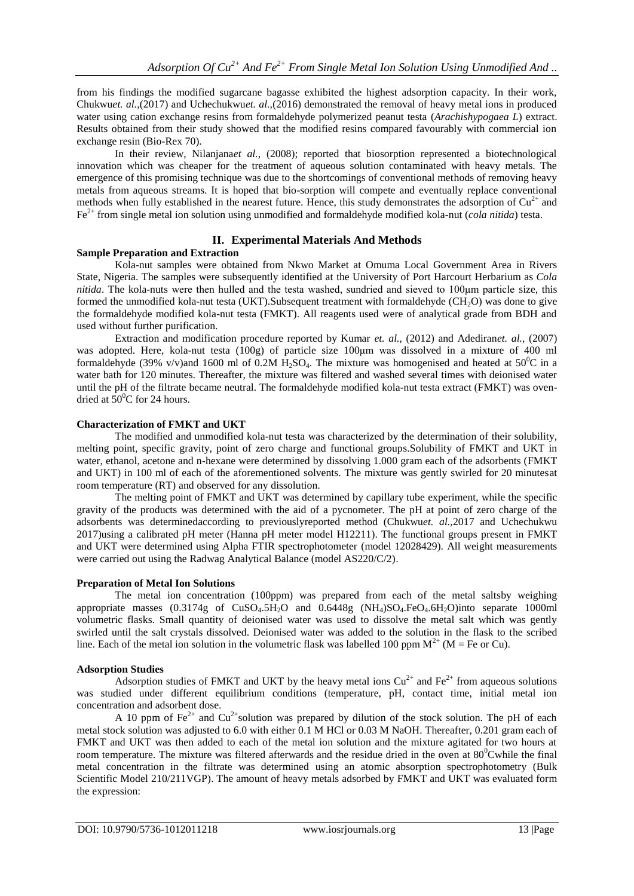from his findings the modified sugarcane bagasse exhibited the highest adsorption capacity. In their work, Chukwu*et. al.,*(2017) and Uchechukwu*et. al.,*(2016) demonstrated the removal of heavy metal ions in produced water using cation exchange resins from formaldehyde polymerized peanut testa (*Arachishypogaea L*) extract. Results obtained from their study showed that the modified resins compared favourably with commercial ion exchange resin (Bio-Rex 70).

In their review, Nilanjana*et al.,* (2008); reported that biosorption represented a biotechnological innovation which was cheaper for the treatment of aqueous solution contaminated with heavy metals. The emergence of this promising technique was due to the shortcomings of conventional methods of removing heavy metals from aqueous streams. It is hoped that bio-sorption will compete and eventually replace conventional methods when fully established in the nearest future. Hence, this study demonstrates the adsorption of  $Cu^{2+}$  and Fe2+ from single metal ion solution using unmodified and formaldehyde modified kola-nut (*cola nitida*) testa.

## **II. Experimental Materials And Methods**

#### **Sample Preparation and Extraction**

Kola-nut samples were obtained from Nkwo Market at Omuma Local Government Area in Rivers State, Nigeria. The samples were subsequently identified at the University of Port Harcourt Herbarium as *Cola nitida*. The kola-nuts were then hulled and the testa washed, sundried and sieved to 100μm particle size, this formed the unmodified kola-nut testa (UKT). Subsequent treatment with formaldehyde (CH<sub>2</sub>O) was done to give the formaldehyde modified kola-nut testa (FMKT). All reagents used were of analytical grade from BDH and used without further purification.

Extraction and modification procedure reported by Kumar *et. al.,* (2012) and Adediran*et. al.,* (2007) was adopted. Here, kola-nut testa (100g) of particle size 100μm was dissolved in a mixture of 400 ml formaldehyde (39% v/v)and 1600 ml of 0.2M  $H_2SO_4$ . The mixture was homogenised and heated at 50<sup>°</sup>C in a water bath for 120 minutes. Thereafter, the mixture was filtered and washed several times with deionised water until the pH of the filtrate became neutral. The formaldehyde modified kola-nut testa extract (FMKT) was ovendried at  $50^{\circ}$ C for 24 hours.

## **Characterization of FMKT and UKT**

The modified and unmodified kola-nut testa was characterized by the determination of their solubility, melting point, specific gravity, point of zero charge and functional groups.Solubility of FMKT and UKT in water, ethanol, acetone and n-hexane were determined by dissolving 1.000 gram each of the adsorbents (FMKT and UKT) in 100 ml of each of the aforementioned solvents. The mixture was gently swirled for 20 minutesat room temperature (RT) and observed for any dissolution.

The melting point of FMKT and UKT was determined by capillary tube experiment, while the specific gravity of the products was determined with the aid of a pycnometer. The pH at point of zero charge of the adsorbents was determinedaccording to previouslyreported method (Chukwu*et. al.,*2017 and Uchechukwu 2017)using a calibrated pH meter (Hanna pH meter model H12211). The functional groups present in FMKT and UKT were determined using Alpha FTIR spectrophotometer (model 12028429). All weight measurements were carried out using the Radwag Analytical Balance (model AS220/C/2).

## **Preparation of Metal Ion Solutions**

The metal ion concentration (100ppm) was prepared from each of the metal saltsby weighing appropriate masses  $(0.3174g)$  of  $CuSO<sub>4</sub>.5H<sub>2</sub>O$  and  $0.6448g$   $(NH<sub>4</sub>)SO<sub>4</sub>.FeO<sub>4</sub>.6H<sub>2</sub>O)$  into separate 1000ml volumetric flasks. Small quantity of deionised water was used to dissolve the metal salt which was gently swirled until the salt crystals dissolved. Deionised water was added to the solution in the flask to the scribed line. Each of the metal ion solution in the volumetric flask was labelled 100 ppm  $M^{2+}$  (M = Fe or Cu).

## **Adsorption Studies**

Adsorption studies of FMKT and UKT by the heavy metal ions  $Cu^{2+}$  and  $Fe^{2+}$  from aqueous solutions was studied under different equilibrium conditions (temperature, pH, contact time, initial metal ion concentration and adsorbent dose.

A 10 ppm of  $Fe^{2+}$  and  $Cu^{2+}$ solution was prepared by dilution of the stock solution. The pH of each metal stock solution was adjusted to 6.0 with either 0.1 M HCl or 0.03 M NaOH. Thereafter, 0.201 gram each of FMKT and UKT was then added to each of the metal ion solution and the mixture agitated for two hours at room temperature. The mixture was filtered afterwards and the residue dried in the oven at 80<sup>°</sup>Cwhile the final metal concentration in the filtrate was determined using an atomic absorption spectrophotometry (Bulk Scientific Model 210/211VGP). The amount of heavy metals adsorbed by FMKT and UKT was evaluated form the expression: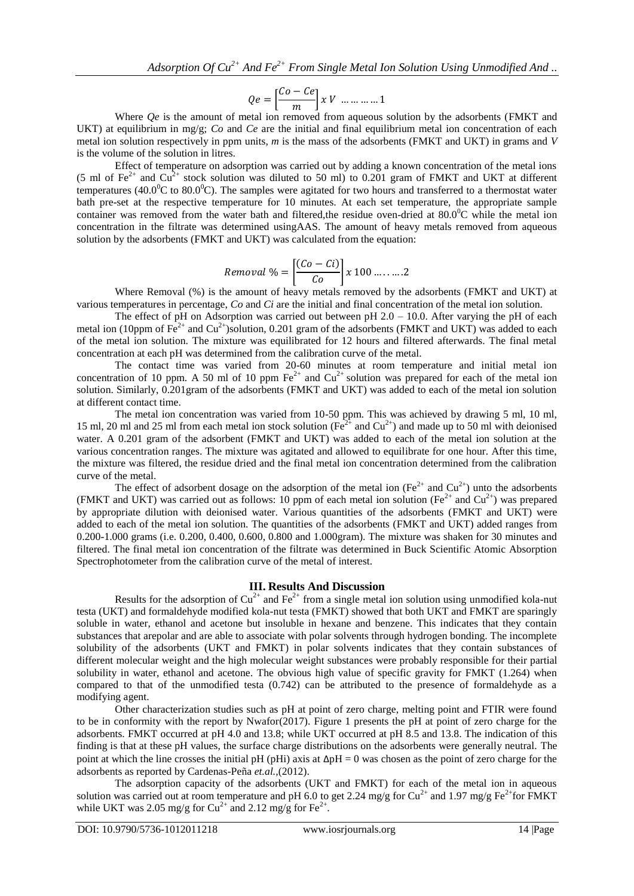$$
Qe = \left[\frac{Co - Ce}{m}\right] x V \dots \dots \dots 1
$$

Where *Qe* is the amount of metal ion removed from aqueous solution by the adsorbents (FMKT and UKT) at equilibrium in mg/g; *Co* and *Ce* are the initial and final equilibrium metal ion concentration of each metal ion solution respectively in ppm units, *m* is the mass of the adsorbents (FMKT and UKT) in grams and *V* is the volume of the solution in litres.

Effect of temperature on adsorption was carried out by adding a known concentration of the metal ions (5 ml of Fe<sup>2+</sup> and Cu<sup>2+</sup> stock solution was diluted to 50 ml) to 0.201 gram of FMKT and UKT at different temperatures (40.0 $^{\circ}$ C to 80.0 $^{\circ}$ C). The samples were agitated for two hours and transferred to a thermostat water bath pre-set at the respective temperature for 10 minutes. At each set temperature, the appropriate sample container was removed from the water bath and filtered,the residue oven-dried at  $80.0^{\circ}$ C while the metal ion concentration in the filtrate was determined usingAAS. The amount of heavy metals removed from aqueous solution by the adsorbents (FMKT and UKT) was calculated from the equation:

$$
Removal \% = \left[\frac{(Co - Ci)}{Co}\right] x 100 \dots \dots .2
$$

Where Removal (%) is the amount of heavy metals removed by the adsorbents (FMKT and UKT) at various temperatures in percentage, *Co* and *Ci* are the initial and final concentration of the metal ion solution.

The effect of pH on Adsorption was carried out between pH  $2.0 - 10.0$ . After varying the pH of each metal ion (10ppm of  $Fe^{2+}$  and  $Cu^{2+}$ )solution, 0.201 gram of the adsorbents (FMKT and UKT) was added to each of the metal ion solution. The mixture was equilibrated for 12 hours and filtered afterwards. The final metal concentration at each pH was determined from the calibration curve of the metal.

The contact time was varied from 20-60 minutes at room temperature and initial metal ion concentration of 10 ppm. A 50 ml of 10 ppm  $\text{Fe}^{2+}$  and  $\text{Cu}^{2+}$  solution was prepared for each of the metal ion solution. Similarly, 0.201gram of the adsorbents (FMKT and UKT) was added to each of the metal ion solution at different contact time.

The metal ion concentration was varied from 10-50 ppm. This was achieved by drawing 5 ml, 10 ml, 15 ml, 20 ml and 25 ml from each metal ion stock solution ( $Fe^{2+}$  and  $Cu^{2+}$ ) and made up to 50 ml with deionised water. A 0.201 gram of the adsorbent (FMKT and UKT) was added to each of the metal ion solution at the various concentration ranges. The mixture was agitated and allowed to equilibrate for one hour. After this time, the mixture was filtered, the residue dried and the final metal ion concentration determined from the calibration curve of the metal.

The effect of adsorbent dosage on the adsorption of the metal ion (Fe<sup>2+</sup> and Cu<sup>2+</sup>) unto the adsorbents (FMKT and UKT) was carried out as follows: 10 ppm of each metal ion solution (Fe<sup>2+</sup> and Cu<sup>2+</sup>) was prepared by appropriate dilution with deionised water. Various quantities of the adsorbents (FMKT and UKT) were added to each of the metal ion solution. The quantities of the adsorbents (FMKT and UKT) added ranges from 0.200-1.000 grams (i.e. 0.200, 0.400, 0.600, 0.800 and 1.000gram). The mixture was shaken for 30 minutes and filtered. The final metal ion concentration of the filtrate was determined in Buck Scientific Atomic Absorption Spectrophotometer from the calibration curve of the metal of interest.

#### **III. Results And Discussion**

Results for the adsorption of  $Cu^{2+}$  and  $Fe^{2+}$  from a single metal ion solution using unmodified kola-nut testa (UKT) and formaldehyde modified kola-nut testa (FMKT) showed that both UKT and FMKT are sparingly soluble in water, ethanol and acetone but insoluble in hexane and benzene. This indicates that they contain substances that arepolar and are able to associate with polar solvents through hydrogen bonding. The incomplete solubility of the adsorbents (UKT and FMKT) in polar solvents indicates that they contain substances of different molecular weight and the high molecular weight substances were probably responsible for their partial solubility in water, ethanol and acetone. The obvious high value of specific gravity for FMKT (1.264) when compared to that of the unmodified testa (0.742) can be attributed to the presence of formaldehyde as a modifying agent.

Other characterization studies such as pH at point of zero charge, melting point and FTIR were found to be in conformity with the report by Nwafor(2017). Figure 1 presents the pH at point of zero charge for the adsorbents. FMKT occurred at pH 4.0 and 13.8; while UKT occurred at pH 8.5 and 13.8. The indication of this finding is that at these pH values, the surface charge distributions on the adsorbents were generally neutral. The point at which the line crosses the initial pH (pHi) axis at  $\Delta pH = 0$  was chosen as the point of zero charge for the adsorbents as reported by Cardenas-Peña *et.al.,*(2012).

The adsorption capacity of the adsorbents (UKT and FMKT) for each of the metal ion in aqueous solution was carried out at room temperature and pH 6.0 to get 2.24 mg/g for  $Cu^{2+}$  and 1.97 mg/g Fe<sup>2+</sup>for FMKT while UKT was 2.05 mg/g for Cu<sup>2+</sup> and 2.12 mg/g for Fe<sup>2+</sup>.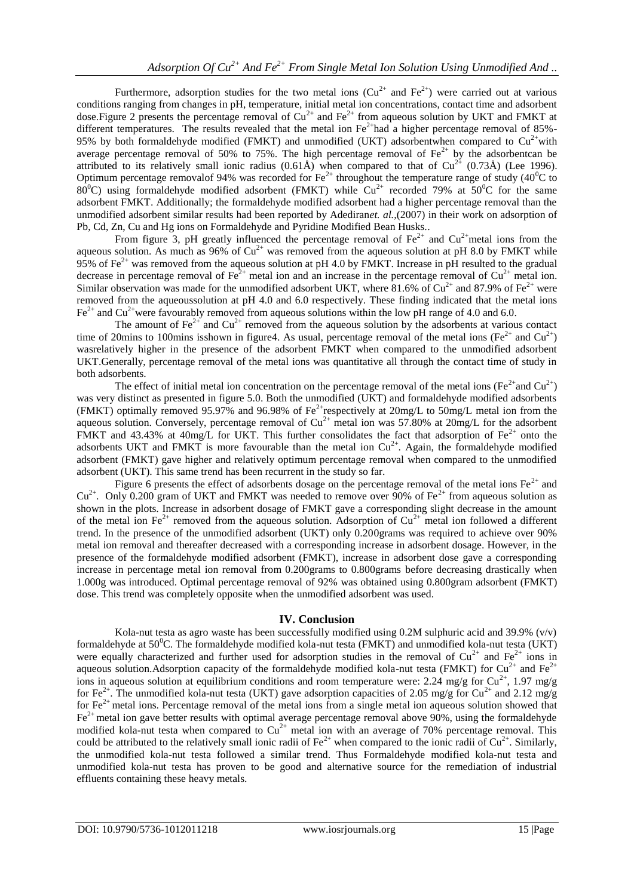Furthermore, adsorption studies for the two metal ions  $(Cu^{2+}$  and  $Fe^{2+})$  were carried out at various conditions ranging from changes in pH, temperature, initial metal ion concentrations, contact time and adsorbent dose. Figure 2 presents the percentage removal of  $Cu^{2+}$  and  $Fe^{2+}$  from aqueous solution by UKT and FMKT at different temperatures. The results revealed that the metal ion  $Fe^{2+}$ had a higher percentage removal of 85%-95% by both formaldehyde modified (FMKT) and unmodified (UKT) adsorbentwhen compared to  $Cu^{2+}$ with average percentage removal of 50% to 75%. The high percentage removal of  $Fe^{2+}$  by the adsorbentcan be attributed to its relatively small ionic radius  $(0.61\text{\AA})$  when compared to that of Cu<sup>2+</sup>  $(0.73\text{\AA})$  (Lee 1996). Optimum percentage removalof 94% was recorded for  $Fe^{2+}$  throughout the temperature range of study (40<sup>0</sup>C to  $80^{\circ}$ C) using formaldehyde modified adsorbent (FMKT) while  $Cu^{2+}$  recorded 79% at 50<sup>°</sup>C for the same adsorbent FMKT. Additionally; the formaldehyde modified adsorbent had a higher percentage removal than the unmodified adsorbent similar results had been reported by Adediran*et. al.,*(2007) in their work on adsorption of Pb, Cd, Zn, Cu and Hg ions on Formaldehyde and Pyridine Modified Bean Husks..

From figure 3, pH greatly influenced the percentage removal of  $Fe^{2+}$  and  $Cu^{2+}$ metal ions from the aqueous solution. As much as  $96\%$  of  $Cu^{2+}$  was removed from the aqueous solution at pH 8.0 by FMKT while 95% of  $Fe^{2+}$  was removed from the aqueous solution at pH 4.0 by FMKT. Increase in pH resulted to the gradual decrease in percentage removal of  $\text{Fe}^{2+}$  metal ion and an increase in the percentage removal of  $\text{Cu}^{2+}$  metal ion. Similar observation was made for the unmodified adsorbent UKT, where 81.6% of  $Cu^{2+}$  and 87.9% of Fe<sup>2+</sup> were removed from the aqueoussolution at pH 4.0 and 6.0 respectively. These finding indicated that the metal ions  $Fe<sup>2+</sup>$  and Cu<sup>2+</sup>were favourably removed from aqueous solutions within the low pH range of 4.0 and 6.0.

The amount of  $\text{Fe}^{2+}$  and  $\text{Cu}^{2+}$  removed from the aqueous solution by the adsorbents at various contact time of 20mins to 100mins isshown in figure4. As usual, percentage removal of the metal ions (Fe<sup>2+</sup> and Cu<sup>2+</sup>) wasrelatively higher in the presence of the adsorbent FMKT when compared to the unmodified adsorbent UKT.Generally, percentage removal of the metal ions was quantitative all through the contact time of study in both adsorbents.

The effect of initial metal ion concentration on the percentage removal of the metal ions (Fe<sup>2+</sup>and Cu<sup>2+</sup>) was very distinct as presented in figure 5.0. Both the unmodified (UKT) and formaldehyde modified adsorbents (FMKT) optimally removed 95.97% and 96.98% of  $Fe^{2+}$ respectively at 20mg/L to 50mg/L metal ion from the aqueous solution. Conversely, percentage removal of  $Cu^{2+}$  metal ion was 57.80% at 20mg/L for the adsorbent FMKT and 43.43% at 40mg/L for UKT. This further consolidates the fact that adsorption of  $Fe^{2+}$  onto the adsorbents UKT and FMKT is more favourable than the metal ion  $Cu^{2+}$ . Again, the formaldehyde modified adsorbent (FMKT) gave higher and relatively optimum percentage removal when compared to the unmodified adsorbent (UKT). This same trend has been recurrent in the study so far.

Figure 6 presents the effect of adsorbents dosage on the percentage removal of the metal ions  $Fe^{2+}$  and  $Cu<sup>2+</sup>$ . Only 0.200 gram of UKT and FMKT was needed to remove over 90% of Fe<sup>2+</sup> from aqueous solution as shown in the plots. Increase in adsorbent dosage of FMKT gave a corresponding slight decrease in the amount of the metal ion Fe<sup>2+</sup> removed from the aqueous solution. Adsorption of  $Cu^{2+}$  metal ion followed a different trend. In the presence of the unmodified adsorbent (UKT) only 0.200grams was required to achieve over 90% metal ion removal and thereafter decreased with a corresponding increase in adsorbent dosage. However, in the presence of the formaldehyde modified adsorbent (FMKT), increase in adsorbent dose gave a corresponding increase in percentage metal ion removal from 0.200grams to 0.800grams before decreasing drastically when 1.000g was introduced. Optimal percentage removal of 92% was obtained using 0.800gram adsorbent (FMKT) dose. This trend was completely opposite when the unmodified adsorbent was used.

## **IV. Conclusion**

Kola-nut testa as agro waste has been successfully modified using 0.2M sulphuric acid and 39.9% (v/v) formaldehyde at  $50^{\circ}$ C. The formaldehyde modified kola-nut testa (FMKT) and unmodified kola-nut testa (UKT) were equally characterized and further used for adsorption studies in the removal of  $Cu^{2+}$  and  $Fe^{2+}$  ions in aqueous solution. Adsorption capacity of the formaldehyde modified kola-nut testa (FMKT) for Cu<sup>2+</sup> and Fe<sup>2+</sup> ions in aqueous solution at equilibrium conditions and room temperature were: 2.24 mg/g for Cu<sup>2+</sup>, 1.97 mg/g for Fe<sup>2+</sup>. The unmodified kola-nut testa (UKT) gave adsorption capacities of 2.05 mg/g for Cu<sup>2+</sup> and 2.12 mg/g for  $Fe<sup>2+</sup>$  metal ions. Percentage removal of the metal ions from a single metal ion aqueous solution showed that  $Fe<sup>2+</sup>$  metal ion gave better results with optimal average percentage removal above 90%, using the formaldehyde modified kola-nut testa when compared to  $Cu^{2+}$  metal ion with an average of 70% percentage removal. This could be attributed to the relatively small ionic radii of  $Fe^{2+}$  when compared to the ionic radii of  $Cu^{2+}$ . Similarly, the unmodified kola-nut testa followed a similar trend. Thus Formaldehyde modified kola-nut testa and unmodified kola-nut testa has proven to be good and alternative source for the remediation of industrial effluents containing these heavy metals.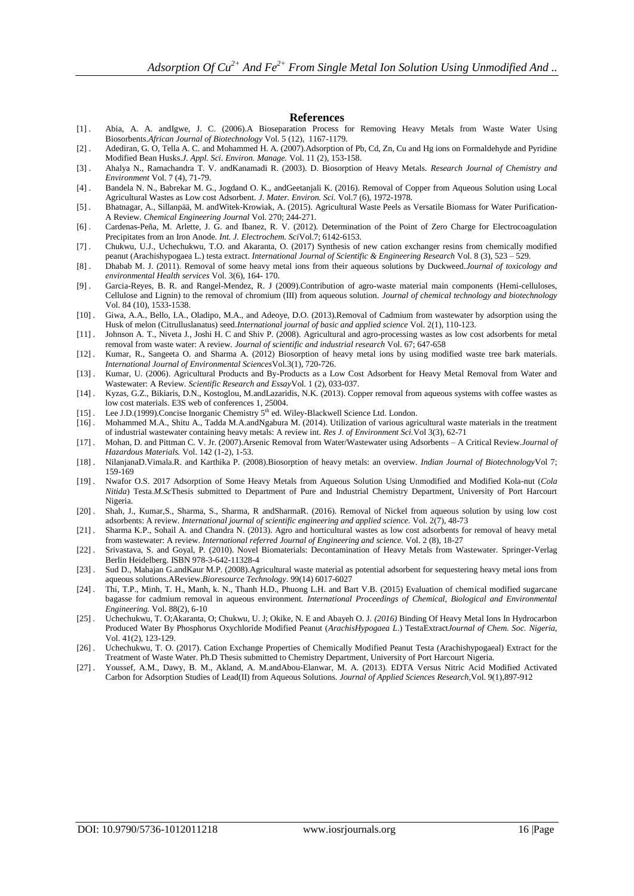#### **References**

- [1] . Abia, A. A. andIgwe, J. C. (2006).A Bioseparation Process for Removing Heavy Metals from Waste Water Using Biosorbents.*African Journal of Biotechnology* Vol. 5 (12), 1167-1179.
- [2] . Adediran, G. O, Tella A. C. and Mohammed H. A. (2007).Adsorption of Pb, Cd, Zn, Cu and Hg ions on Formaldehyde and Pyridine Modified Bean Husks.*J. Appl. Sci. Environ. Manage.* Vol. 11 (2), 153-158.
- [3] . Ahalya N., Ramachandra T. V. andKanamadi R. (2003). D. Biosorption of Heavy Metals. *Research Journal of Chemistry and Environment* Vol. 7 (4), 71-79.
- [4] . Bandela N. N., Babrekar M. G., Jogdand O. K., andGeetanjali K. (2016). Removal of Copper from Aqueous Solution using Local Agricultural Wastes as Low cost Adsorbent. *J. Mater. Environ. Sci.* Vol.7 (6), 1972-1978.
- [5] . Bhatnagar, A., Sillanpää, M. andWitek-Krowiak, A. (2015). Agricultural Waste Peels as Versatile Biomass for Water Purification-A Review. *Chemical Engineering Journal* Vol. 270; 244-271.
- [6] . Cardenas-Peña, M. Arlette, J. G. and Ibanez, R. V. (2012). Determination of the Point of Zero Charge for Electrocoagulation Precipitates from an Iron Anode. *Int. J. Electrochem. Sci*Vol.7; 6142-6153.
- [7] . Chukwu, U.J., Uchechukwu, T.O. and Akaranta, O. (2017) Synthesis of new cation exchanger resins from chemically modified peanut (Arachishypogaea L.) testa extract. *International Journal of Scientific & Engineering Research* Vol. 8 (3), 523 – 529.
- [8] . Dhabab M. J. (2011). Removal of some heavy metal ions from their aqueous solutions by Duckweed.*Journal of toxicology and environmental Health services* Vol. 3(6), 164- 170.
- [9] . Garcia-Reyes, B. R. and Rangel-Mendez, R. J (2009).Contribution of agro-waste material main components (Hemi-celluloses, Cellulose and Lignin) to the removal of chromium (III) from aqueous solution*. Journal of chemical technology and biotechnology* Vol. 84 (10), 1533-1538.
- [10] . Giwa, A.A., Bello, I.A., Oladipo, M.A., and Adeoye, D.O. (2013).Removal of Cadmium from wastewater by adsorption using the Husk of melon (Citrulluslanatus) seed.*International journal of basic and applied science* Vol. 2(1), 110-123.
- [11] . Johnson A. T., Niveta J., Joshi H. C and Shiv P. (2008). Agricultural and agro-processing wastes as low cost adsorbents for metal removal from waste water: A review. *Journal of scientific and industrial research* Vol. 67; 647-658
- [12] . Kumar, R., Sangeeta O. and Sharma A. (2012) Biosorption of heavy metal ions by using modified waste tree bark materials. *International Journal of Environmental Sciences*Vol.3(1), 720-726.
- [13] . Kumar, U. (2006). Agricultural Products and By-Products as a Low Cost Adsorbent for Heavy Metal Removal from Water and Wastewater: A Review. *Scientific Research and Essay*Vol. 1 (2), 033-037.
- [14] . Kyzas, G.Z., Bikiaris, D.N., Kostoglou, M.andLazaridis, N.K. (2013). Copper removal from aqueous systems with coffee wastes as low cost materials. E3S web of conferences 1, 25004.
- [15] . Lee J.D.(1999).Concise Inorganic Chemistry 5<sup>th</sup> ed. Wiley-Blackwell Science Ltd. London.
- [16] . Mohammed M.A., Shitu A., Tadda M.A.andNgabura M. (2014). Utilization of various agricultural waste materials in the treatment of industrial wastewater containing heavy metals: A review int. *Res J. of Environment Sci.*Vol 3(3), 62-71
- [17] . Mohan, D. and Pittman C. V. Jr. (2007).Arsenic Removal from Water/Wastewater using Adsorbents A Critical Review.*Journal of Hazardous Materials.* Vol. 142 (1-2), 1-53.
- [18] . NilanjanaD.Vimala.R. and Karthika P. (2008).Biosorption of heavy metals: an overview. *Indian Journal of Biotechnology*Vol 7; 159-169
- [19] . Nwafor O.S. 2017 Adsorption of Some Heavy Metals from Aqueous Solution Using Unmodified and Modified Kola-nut (*Cola Nitida*) Testa.*M.Sc*Thesis submitted to Department of Pure and Industrial Chemistry Department, University of Port Harcourt Nigeria.
- [20] . Shah, J., Kumar,S., Sharma, S., Sharma, R andSharmaR. (2016). Removal of Nickel from aqueous solution by using low cost adsorbents: A review. *International journal of scientific engineering and applied science.* Vol. 2(7), 48-73
- [21] . Sharma K.P., Sohail A. and Chandra N. (2013). Agro and horticultural wastes as low cost adsorbents for removal of heavy metal from wastewater: A review. *International referred Journal of Engineering and science.* Vol. 2 (8), 18-27
- [22] . Srivastava, S. and Goyal, P. (2010). Novel Biomaterials: Decontamination of Heavy Metals from Wastewater. Springer-Verlag Berlin Heidelberg. ISBN 978-3-642-11328-4
- [23] . Sud D., Mahajan G.andKaur M.P. (2008).Agricultural waste material as potential adsorbent for sequestering heavy metal ions from aqueous solutions.AReview.*Bioresource Technology*. 99(14) 6017-6027
- [24] . Thi, T.P., Minh, T. H., Manh, k. N., Thanh H.D., Phuong L.H. and Bart V.B. (2015) Evaluation of chemical modified sugarcane bagasse for cadmium removal in aqueous environment. *International Proceedings of Chemical, Biological and Environmental Engineering.* Vol. 88(2), 6-10
- [25] . Uchechukwu, T. O;Akaranta, O; Chukwu, U. J; Okike, N. E and Abayeh O. J. *(2016)* Binding Of Heavy Metal Ions In Hydrocarbon Produced Water By Phosphorus Oxychloride Modified Peanut (*ArachisHypogaea L*.) TestaExtract*Journal of Chem. Soc. Nigeria,*  Vol. 41(2), 123-129.
- [26] . Uchechukwu, T. O. (2017). Cation Exchange Properties of Chemically Modified Peanut Testa (Arachishypogaeal) Extract for the Treatment of Waste Water. Ph.D Thesis submitted to Chemistry Department, University of Port Harcourt Nigeria.
- [27] . Youssef, A.M., Dawy, B. M., Akland, A. M.andAbou-Elanwar, M. A. (2013). EDTA Versus Nitric Acid Modified Activated Carbon for Adsorption Studies of Lead(II) from Aqueous Solutions. *Journal of Applied Sciences Research,*Vol. 9(1),897-912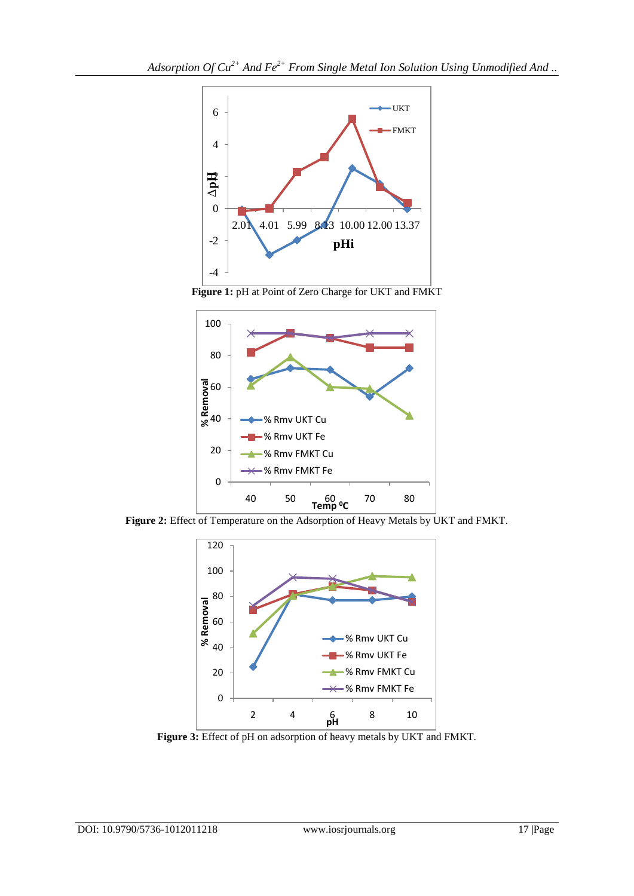





**Figure 2:** Effect of Temperature on the Adsorption of Heavy Metals by UKT and FMKT.



**Figure 3:** Effect of pH on adsorption of heavy metals by UKT and FMKT.